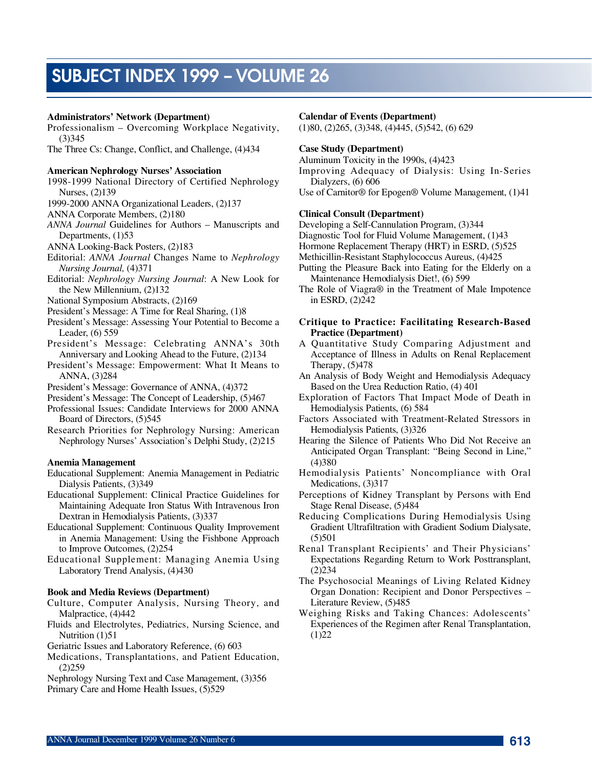# SUBJECT INDEX 1999 – VOLUME 26

## **Administrators' Network (Department)**

Professionalism – Overcoming Workplace Negativity,  $(3)345$ 

The Three Cs: Change, Conflict, and Challenge, (4)434

#### **American Nephrology Nurses' Association**

- 1998-1999 National Directory of Certified Nephrology Nurses, (2)139
- 1999-2000 ANNA Organizational Leaders, (2)137
- ANNA Corporate Members, (2)180
- *ANNA Journal* Guidelines for Authors Manuscripts and Departments,  $(1)53$
- ANNA Looking-Back Posters, (2)183
- Editorial: *ANNA Journal* Changes Name to *Nephrology Nursing Journal,* (4) 371
- Editorial: *Nephrology Nursing Journal*: A New Look for the New Millennium, (2)132
- National Symposium Abstracts, (2)169
- President's Message: A Time for Real Sharing, (1)8
- President's Message: Assessing Your Potential to Become a Leader, (6) 559
- President's Message: Celebrating ANNA's 30th Anniversary and Looking Ahead to the Future, (2)134
- President's Message: Empowerment: What It Means to ANNA, (3)284
- President's Message: Governance of ANNA, (4)372

President's Message: The Concept of Leadership, (5)467

- Professional Issues: Candidate Interviews for 2000 ANNA Board of Directors, (5)545
- Research Priorities for Nephrology Nursing: American Nephrology Nurses' Association's Delphi Study, (2)215

#### **Anemia Management**

- Educational Supplement: Anemia Management in Pediatric Dialysis Patients, (3)349
- Educational Supplement: Clinical Practice Guidelines for Maintaining Adequate Iron Status With Intravenous Iron Dextran in Hemodialysis Patients, (3)337
- Educational Supplement: Continuous Quality Improvement in Anemia Management: Using the Fishbone Approach to Improve Outcomes, (2)254
- Educational Supplement: Managing Anemia Using Laboratory Trend Analysis, (4)430

## **Book and Media Reviews (Department)**

- Culture, Computer Analysis, Nursing Theory, and Malpractice, (4)442
- Fluids and Electrolytes, Pediatrics, Nursing Science, and Nutrition (1)51
- Geriatric Issues and Laboratory Reference, (6) 603
- Medications, Transplantations, and Patient Education,  $(2)$  259
- Nephrology Nursing Text and Case Management, (3)356

Primary Care and Home Health Issues, (5)529

#### **Calendar of Events (Department)**

(1)80, (2)265, (3)348, (4)445, (5)542, (6) 629

### **Case Study (Department)**

Aluminum Toxicity in the 1990s, (4)423

- Improving Adequacy of Dialysis: Using In-Series Dialyzers, (6) 606
- Use of Carnitor® for Epogen® Volume Management, (1)41

### **Clinical Consult (Department)**

- Developing a Self-Cannulation Program, (3)344
- Diagnostic Tool for Fluid Volume Management, (1)43
- Hormone Replacement Therapy (HRT) in ESRD, (5)525
- Methicillin-Resistant Staphylococcus Aureus, (4)425
- Putting the Pleasure Back into Eating for the Elderly on a Maintenance Hemodialysis Diet!, (6) 599

The Role of Viagra® in the Treatment of Male Impotence in ESRD, (2)242

## **Critique to Practice: Facilitating Research-Based Practice (Department)**

- A Quantitative Study Comparing Adjustment and Acceptance of Illness in Adults on Renal Replacement Therapy, (5)478
- An Analysis of Body Weight and Hemodialysis Adequacy Based on the Urea Reduction Ratio, (4) 401
- Exploration of Factors That Impact Mode of Death in Hemodialysis Patients, (6) 584
- Factors Associated with Treatment-Related Stressors in Hemodialysis Patients, (3)326
- Hearing the Silence of Patients Who Did Not Receive an Anticipated Organ Transplant: "Being Second in Line,"  $(4)380$
- Hemodialysis Patients' Noncompliance with Oral Medications,  $(3)317$
- Perceptions of Kidney Transplant by Persons with End Stage Renal Disease, (5)484
- Reducing Complications During Hemodialysis Using Gradient Ultrafiltration with Gradient Sodium Dialysate,  $(5)501$
- Renal Transplant Recipients' and Their Physicians' Expectations Regarding Return to Work Posttransplant,  $(2)$  234
- The Psychosocial Meanings of Living Related Kidney Organ Donation: Recipient and Donor Perspectives – Literature Review, (5)485
- Weighing Risks and Taking Chances: Adolescents' Experiences of the Regimen after Renal Transplantation,  $(1) 2 2$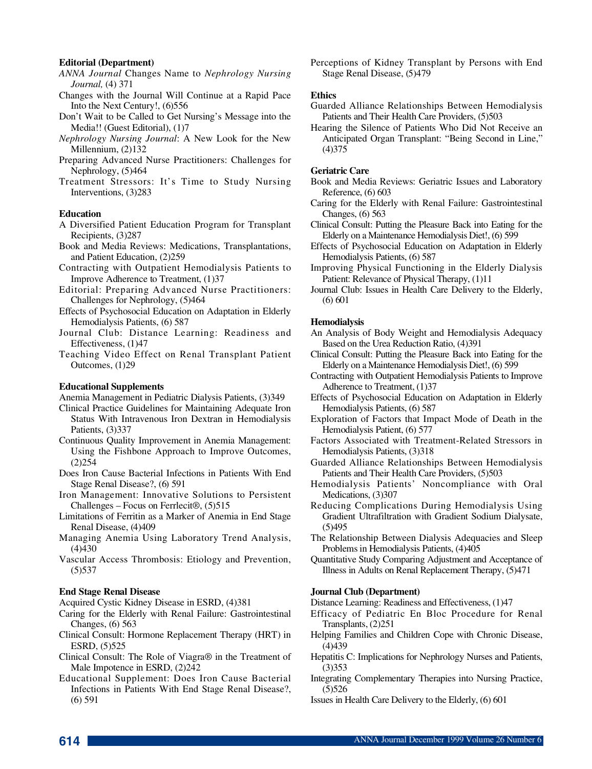## **Editorial (Department)**

- *ANNA Journal* Changes Name to *Nephrology Nursing Journal*, (4) 371
- Changes with the Journal Will Continue at a Rapid Pace Into the Next Century!, (6)556
- Don't Wait to be Called to Get Nursing's Message into the Media!! (Guest Editorial), (1)7
- *Nephrology Nursing Journal*: A New Look for the New Millennium, (2)132
- Preparing Advanced Nurse Practitioners: Challenges for Nephrology, (5)464
- Treatment Stressors: It's Time to Study Nursing Interventions, (3)283

## **Education**

- A Diversified Patient Education Program for Transplant Recipients, (3)287
- Book and Media Reviews: Medications, Transplantations, and Patient Education, (2)259
- Contracting with Outpatient Hemodialysis Patients to Improve Adherence to Treatment, (1)37
- Editorial: Preparing Advanced Nurse Practitioners: Challenges for Nephrology, (5)464
- Effects of Psychosocial Education on Adaptation in Elderly Hemodialysis Patients, (6) 587
- Journal Club: Distance Learning: Readiness and Effectiveness, (1)47
- Teaching Video Effect on Renal Transplant Patient Outcomes, (1)29

## **Educational Supplements**

- Anemia Management in Pediatric Dialysis Patients, (3)349
- Clinical Practice Guidelines for Maintaining Adequate Iron Status With Intravenous Iron Dextran in Hemodialysis Patients, (3)337
- Continuous Quality Improvement in Anemia Management: Using the Fishbone Approach to Improve Outcomes,  $(2)$   $254$
- Does Iron Cause Bacterial Infections in Patients With End Stage Renal Disease?, (6) 591
- Iron Management: Innovative Solutions to Persistent Challenges – Focus on Ferrlecit®, (5)515
- Limitations of Ferritin as a Marker of Anemia in End Stage Renal Disease, (4)409
- Managing Anemia Using Laboratory Trend Analysis,  $(4)430$
- Vascular Access Thrombosis: Etiology and Prevention,  $(5)$  5 3 7

#### **End Stage Renal Disease**

Acquired Cystic Kidney Disease in ESRD, (4)381

- Caring for the Elderly with Renal Failure: Gastrointestinal Changes, (6) 563
- Clinical Consult: Hormone Replacement Therapy (HRT) in ESRD, (5)525
- Clinical Consult: The Role of Viagra® in the Treatment of Male Impotence in ESRD, (2)242
- Educational Supplement: Does Iron Cause Bacterial Infections in Patients With End Stage Renal Disease?, (6) 591

Perceptions of Kidney Transplant by Persons with End Stage Renal Disease, (5)479

#### **Ethics**

- Guarded Alliance Relationships Between Hemodialysis Patients and Their Health Care Providers, (5)503
- Hearing the Silence of Patients Who Did Not Receive an Anticipated Organ Transplant: "Being Second in Line,"  $(4)375$

#### **Geriatric Care**

- Book and Media Reviews: Geriatric Issues and Laboratory Reference, (6) 603
- Caring for the Elderly with Renal Failure: Gastrointestinal Changes, (6) 563
- Clinical Consult: Putting the Pleasure Back into Eating for the Elderly on a Maintenance Hemodialysis Diet!, (6) 599
- Effects of Psychosocial Education on Adaptation in Elderly Hemodialysis Patients, (6) 587
- Improving Physical Functioning in the Elderly Dialysis Patient: Relevance of Physical Therapy, (1)11
- Journal Club: Issues in Health Care Delivery to the Elderly, (6) 601

#### **Hemodialysis**

- An Analysis of Body Weight and Hemodialysis Adequacy Based on the Urea Reduction Ratio, (4)391
- Clinical Consult: Putting the Pleasure Back into Eating for the Elderly on a Maintenance Hemodialysis Diet!, (6) 599
- Contracting with Outpatient Hemodialysis Patients to Improve Adherence to Treatment, (1)37
- Effects of Psychosocial Education on Adaptation in Elderly Hemodialysis Patients, (6) 587
- Exploration of Factors that Impact Mode of Death in the Hemodialysis Patient, (6) 577
- Factors Associated with Treatment-Related Stressors in Hemodialysis Patients, (3)318
- Guarded Alliance Relationships Between Hemodialysis Patients and Their Health Care Providers, (5)503
- Hemodialysis Patients' Noncompliance with Oral Medications, (3)307
- Reducing Complications During Hemodialysis Using Gradient Ultrafiltration with Gradient Sodium Dialysate,  $(5)495$
- The Relationship Between Dialysis Adequacies and Sleep Problems in Hemodialysis Patients, (4)405
- Quantitative Study Comparing Adjustment and Acceptance of Illness in Adults on Renal Replacement Therapy, (5)471

#### **Journal Club (Department)**

Distance Learning: Readiness and Effectiveness, (1)47

- Efficacy of Pediatric En Bloc Procedure for Renal Transplants, (2)251
- Helping Families and Children Cope with Chronic Disease,  $(4)439$
- Hepatitis C: Implications for Nephrology Nurses and Patients,  $(3)353$
- Integrating Complementary Therapies into Nursing Practice,  $(5)$ 526
- Issues in Health Care Delivery to the Elderly, (6) 601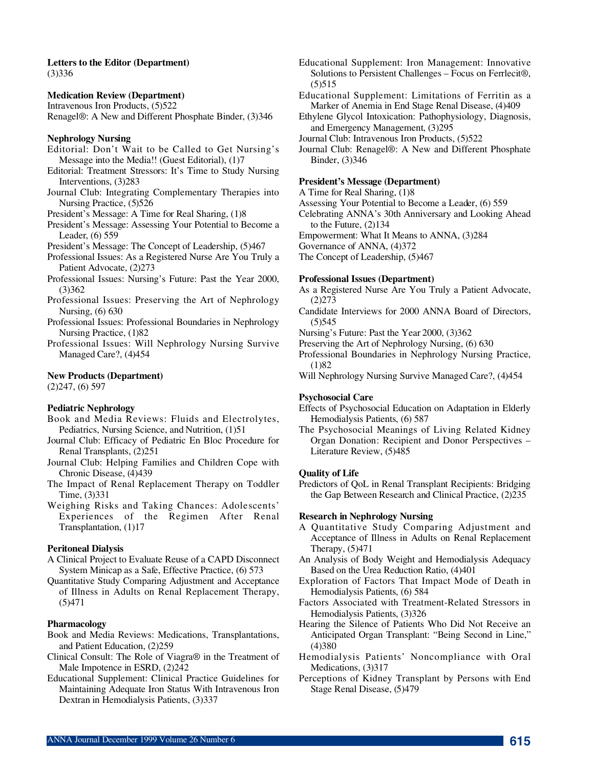#### **Letters to the Editor (Department)**  $(3)336$

**Medication Review (Department)** Intravenous Iron Products, (5)522 Renagel®: A New and Different Phosphate Binder, (3)346

## **Nephrology Nursing**

- Editorial: Don't Wait to be Called to Get Nursing's Message into the Media!! (Guest Editorial), (1)7
- Editorial: Treatment Stressors: It's Time to Study Nursing Interventions, (3)283
- Journal Club: Integrating Complementary Therapies into Nursing Practice, (5)526
- President's Message: A Time for Real Sharing, (1)8
- President's Message: Assessing Your Potential to Become a Leader, (6) 559

President's Message: The Concept of Leadership, (5)467

- Professional Issues: As a Registered Nurse Are You Truly a Patient Advocate, (2)273
- Professional Issues: Nursing's Future: Past the Year 2000,  $(3)362$
- Professional Issues: Preserving the Art of Nephrology Nursing, (6) 630
- Professional Issues: Professional Boundaries in Nephrology Nursing Practice, (1)82

Professional Issues: Will Nephrology Nursing Survive Managed Care?, (4)454

## **New Products (Department)**

(2)247, (6) 597

## **Pediatric Nephrology**

- Book and Media Reviews: Fluids and Electrolytes, Pediatrics, Nursing Science, and Nutrition, (1)51
- Journal Club: Efficacy of Pediatric En Bloc Procedure for Renal Transplants, (2)251
- Journal Club: Helping Families and Children Cope with Chronic Disease, (4)439
- The Impact of Renal Replacement Therapy on Toddler Time, (3)331
- Weighing Risks and Taking Chances: Adolescents' Experiences of the Regimen After Renal Transplantation, (1)17

## **Peritoneal Dialysis**

- A Clinical Project to Evaluate Reuse of a CAPD Disconnect System Minicap as a Safe, Effective Practice, (6) 573
- Quantitative Study Comparing Adjustment and Acceptance of Illness in Adults on Renal Replacement Therapy,  $(5)471$

## **Pharmacology**

- Book and Media Reviews: Medications, Transplantations, and Patient Education, (2)259
- Clinical Consult: The Role of Viagra® in the Treatment of Male Impotence in ESRD, (2)242
- Educational Supplement: Clinical Practice Guidelines for Maintaining Adequate Iron Status With Intravenous Iron Dextran in Hemodialysis Patients, (3)337
- Educational Supplement: Iron Management: Innovative Solutions to Persistent Challenges – Focus on Ferrlecit®,  $(5)$ 515
- Educational Supplement: Limitations of Ferritin as a Marker of Anemia in End Stage Renal Disease, (4)409
- Ethylene Glycol Intoxication: Pathophysiology, Diagnosis, and Emergency Management, (3)295

Journal Club: Intravenous Iron Products, (5)522

Journal Club: Renagel®: A New and Different Phosphate Binder, (3)346

## **President's Message (Department)**

- A Time for Real Sharing, (1)8
- Assessing Your Potential to Become a Leader, (6) 559
- Celebrating ANNA's 30th Anniversary and Looking Ahead to the Future, (2)134
- Empowerment: What It Means to ANNA, (3)284

Governance of ANNA, (4)372

The Concept of Leadership, (5)467

## **Professional Issues (Department)**

- As a Registered Nurse Are You Truly a Patient Advocate,  $(2)273$
- Candidate Interviews for 2000 ANNA Board of Directors,  $(5)$ 545
- Nursing's Future: Past the Year 2000, (3)362
- Preserving the Art of Nephrology Nursing, (6) 630
- Professional Boundaries in Nephrology Nursing Practice,  $(1)82$
- Will Nephrology Nursing Survive Managed Care?, (4)454

#### **Psychosocial Care**

- Effects of Psychosocial Education on Adaptation in Elderly Hemodialysis Patients, (6) 587
- The Psychosocial Meanings of Living Related Kidney Organ Donation: Recipient and Donor Perspectives – Literature Review, (5)485

#### **Quality of Life**

Predictors of QoL in Renal Transplant Recipients: Bridging the Gap Between Research and Clinical Practice, (2)235

## **Research in Nephrology Nursing**

- A Quantitative Study Comparing Adjustment and Acceptance of Illness in Adults on Renal Replacement Therapy, (5)471
- An Analysis of Body Weight and Hemodialysis Adequacy Based on the Urea Reduction Ratio, (4)401
- Exploration of Factors That Impact Mode of Death in Hemodialysis Patients, (6) 584
- Factors Associated with Treatment-Related Stressors in Hemodialysis Patients, (3)326
- Hearing the Silence of Patients Who Did Not Receive an Anticipated Organ Transplant: "Being Second in Line,"  $(4)380$
- Hemodialysis Patients' Noncompliance with Oral Medications, (3)317
- Perceptions of Kidney Transplant by Persons with End Stage Renal Disease, (5)479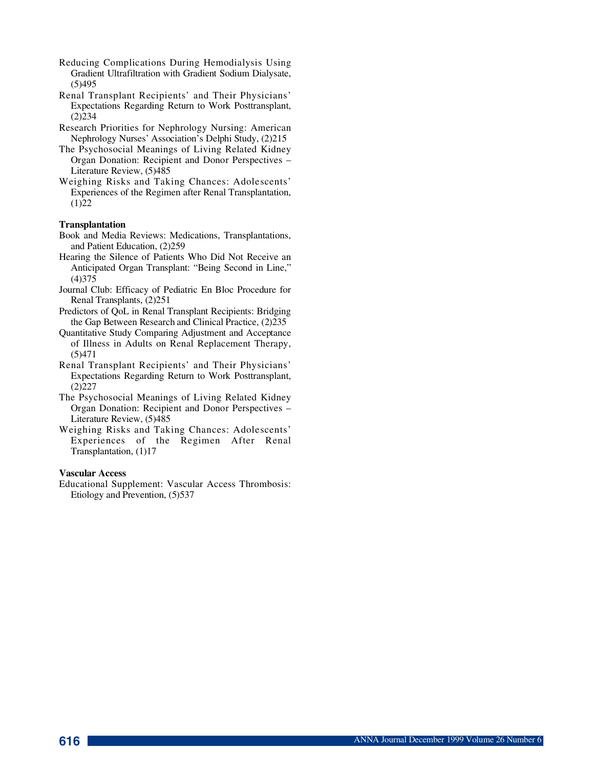- Reducing Complications During Hemodialysis Using Gradient Ultrafiltration with Gradient Sodium Dialysate,  $(5)495$
- Renal Transplant Recipients' and Their Physicians' Expectations Regarding Return to Work Posttransplant,  $(2)$ 234
- Research Priorities for Nephrology Nursing: American Nephrology Nurses' Association's Delphi Study, (2)215
- The Psychosocial Meanings of Living Related Kidney Organ Donation: Recipient and Donor Perspectives – Literature Review, (5)485
- Weighing Risks and Taking Chances: Adolescents' Experiences of the Regimen after Renal Transplantation,  $(1) 2 2$

# **Transplantation**

- Book and Media Reviews: Medications, Transplantations, and Patient Education, (2)259
- Hearing the Silence of Patients Who Did Not Receive an Anticipated Organ Transplant: "Being Second in Line,"  $(4)375$
- Journal Club: Efficacy of Pediatric En Bloc Procedure for Renal Transplants, (2)251
- Predictors of QoL in Renal Transplant Recipients: Bridging the Gap Between Research and Clinical Practice, (2)235
- Quantitative Study Comparing Adjustment and Acceptance of Illness in Adults on Renal Replacement Therapy,  $(5)471$
- Renal Transplant Recipients' and Their Physicians' Expectations Regarding Return to Work Posttransplant,  $(2) 2 2 7$
- The Psychosocial Meanings of Living Related Kidney Organ Donation: Recipient and Donor Perspectives – Literature Review, (5)485
- Weighing Risks and Taking Chances: Adolescents' Experiences of the Regimen After Renal Transplantation, (1)17

## **Vascular Access**

Educational Supplement: Vascular Access Thrombosis: Etiology and Prevention, (5)537